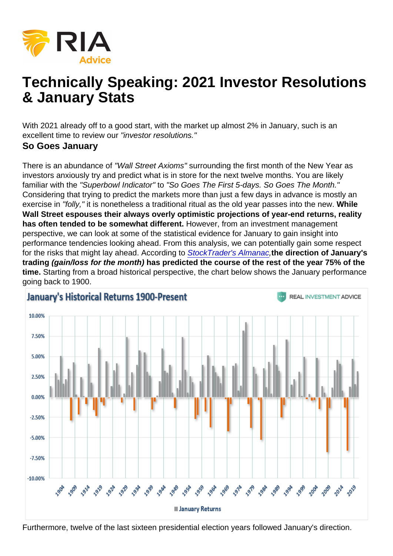# Technically Speaking: 2021 Investor Resolutions & January Stats

With 2021 already off to a good start, with the market up almost 2% in January, such is an excellent time to review our "investor resolutions." So Goes January

There is an abundance of "Wall Street Axioms" surrounding the first month of the New Year as investors anxiously try and predict what is in store for the next twelve months. You are likely familiar with the "Superbowl Indicator" to "So Goes The First 5-days. So Goes The Month." Considering that trying to predict the markets more than just a few days in advance is mostly an exercise in "folly," it is nonetheless a traditional ritual as the old year passes into the new. While Wall Street espouses their always overly optimistic projections of year-end returns, reality has often tended to be somewhat different. However, from an investment management perspective, we can look at some of the statistical evidence for January to gain insight into performance tendencies looking ahead. From this analysis, we can potentially gain some respect for the risks that might lay ahead. According to [StockTrader's Almanac,](http://www.stocktradersalmanac.com)the direction of January's trading (gain/loss for the month) has predicted the course of the rest of the year 75% of the time. Starting from a broad historical perspective, the chart below shows the January performance going back to 1900.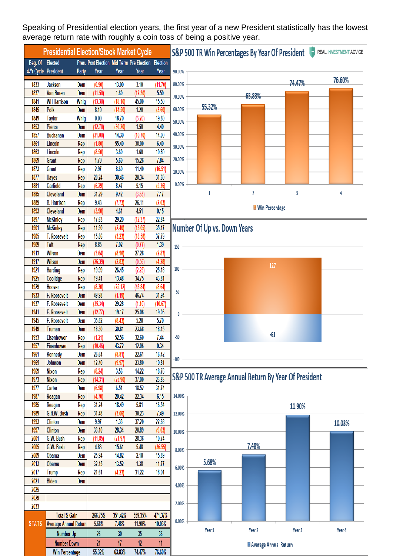Speaking of Presidential election years, the first year of a new President statistically has the lowest average return rate with roughly a coin toss of being a positive year.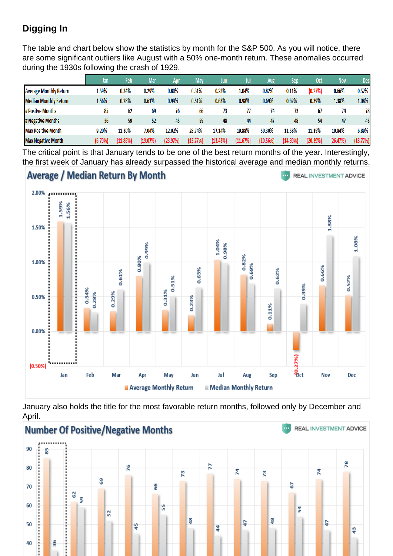### Digging In

The table and chart below show the statistics by month for the S&P 500. As you will notice, there are some significant outliers like August with a 50% one-month return. These anomalies occurred during the 1930s following the crash of 1929.

The critical point is that January tends to be one of the best return months of the year. Interestingly, the first week of January has already surpassed the historical average and median monthly returns.

January also holds the title for the most favorable return months, followed only by December and April.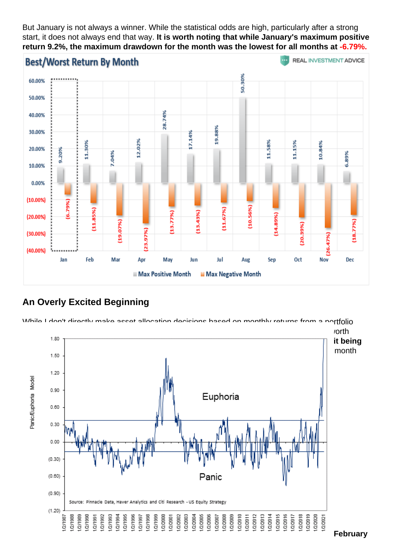But January is not always a winner. While the statistical odds are high, particularly after a strong start, it does not always end that way. It is worth noting that while January's maximum positive return 9.2%, the maximum drawdown for the month was the lowest for all months at -6.79%.

#### An Overly Excited Beginning

While I don't directly make asset allocation decisions based on monthly returns from a portfolio [management perspective, the statistical weight of evidence suggests a couple of things w](https://realinvestmentadvice.com/wp-content/uploads/2021/01/Citi-Euphoria-Index-2020.png)orth considering. The odds of January being a positive month greatly outweigh those of it being negative . With the market already extremely extended, overbought, and euphoric, a mid-month reversal would not be surprising. The panic/euphoria index is at an all-time high.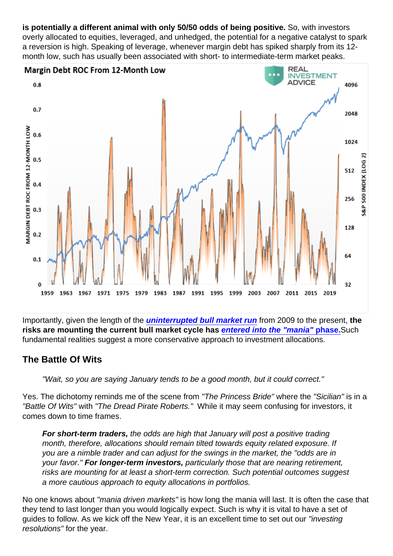is potentially a different animal with only 50/50 odds of being positive. So, with investors overly allocated to equities, leveraged, and unhedged, the potential for a negative catalyst to spark a reversion is high. Speaking of leverage, whenever margin debt has spiked sharply from its 12 month low, such has usually been associated with short- to intermediate-term market peaks.

Importantly, given the length of the [uninterrupted bull market run](https://realinvestmentadvice.com/macroview-march-was-a-correction-bear-market-still-lurks/) from 2009 to the present, the risks are mounting the current bull market cycle has [entered into the "mania" phase.](https://realinvestmentadvice.com/technically-speaking-sp-500-trading-at-historical-extremes/) Such fundamental realities suggest a more conservative approach to investment allocations.

The Battle Of Wits

"Wait, so you are saying January tends to be a good month, but it could correct."

Yes. The dichotomy reminds me of the scene from "The Princess Bride" where the "Sicilian" is in a "Battle Of Wits" with "The Dread Pirate Roberts." While it may seem confusing for investors, it comes down to time frames.

For short-term traders, the odds are high that January will post a positive trading month, therefore, allocations should remain tilted towards equity related exposure. If you are a nimble trader and can adjust for the swings in the market, the "odds are in your favor." For longer-term investors, particularly those that are nearing retirement, risks are mounting for at least a short-term correction. Such potential outcomes suggest a more cautious approach to equity allocations in portfolios.

No one knows about "mania driven markets" is how long the mania will last. It is often the case that they tend to last longer than you would logically expect. Such is why it is vital to have a set of guides to follow. As we kick off the New Year, it is an excellent time to set out our "investing resolutions" for the year.